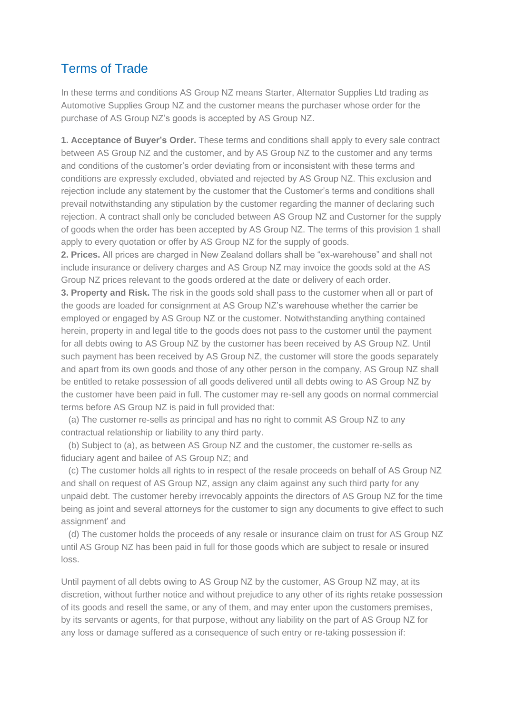## Terms of Trade

In these terms and conditions AS Group NZ means Starter, Alternator Supplies Ltd trading as Automotive Supplies Group NZ and the customer means the purchaser whose order for the purchase of AS Group NZ's goods is accepted by AS Group NZ.

**1. Acceptance of Buyer's Order.** These terms and conditions shall apply to every sale contract between AS Group NZ and the customer, and by AS Group NZ to the customer and any terms and conditions of the customer's order deviating from or inconsistent with these terms and conditions are expressly excluded, obviated and rejected by AS Group NZ. This exclusion and rejection include any statement by the customer that the Customer's terms and conditions shall prevail notwithstanding any stipulation by the customer regarding the manner of declaring such rejection. A contract shall only be concluded between AS Group NZ and Customer for the supply of goods when the order has been accepted by AS Group NZ. The terms of this provision 1 shall apply to every quotation or offer by AS Group NZ for the supply of goods.

**2. Prices.** All prices are charged in New Zealand dollars shall be "ex-warehouse" and shall not include insurance or delivery charges and AS Group NZ may invoice the goods sold at the AS Group NZ prices relevant to the goods ordered at the date or delivery of each order.

**3. Property and Risk.** The risk in the goods sold shall pass to the customer when all or part of the goods are loaded for consignment at AS Group NZ's warehouse whether the carrier be employed or engaged by AS Group NZ or the customer. Notwithstanding anything contained herein, property in and legal title to the goods does not pass to the customer until the payment for all debts owing to AS Group NZ by the customer has been received by AS Group NZ. Until such payment has been received by AS Group NZ, the customer will store the goods separately and apart from its own goods and those of any other person in the company, AS Group NZ shall be entitled to retake possession of all goods delivered until all debts owing to AS Group NZ by the customer have been paid in full. The customer may re-sell any goods on normal commercial terms before AS Group NZ is paid in full provided that:

(a) The customer re-sells as principal and has no right to commit AS Group NZ to any contractual relationship or liability to any third party.

(b) Subject to (a), as between AS Group NZ and the customer, the customer re-sells as fiduciary agent and bailee of AS Group NZ; and

(c) The customer holds all rights to in respect of the resale proceeds on behalf of AS Group NZ and shall on request of AS Group NZ, assign any claim against any such third party for any unpaid debt. The customer hereby irrevocably appoints the directors of AS Group NZ for the time being as joint and several attorneys for the customer to sign any documents to give effect to such assignment' and

(d) The customer holds the proceeds of any resale or insurance claim on trust for AS Group NZ until AS Group NZ has been paid in full for those goods which are subject to resale or insured loss.

Until payment of all debts owing to AS Group NZ by the customer, AS Group NZ may, at its discretion, without further notice and without prejudice to any other of its rights retake possession of its goods and resell the same, or any of them, and may enter upon the customers premises, by its servants or agents, for that purpose, without any liability on the part of AS Group NZ for any loss or damage suffered as a consequence of such entry or re-taking possession if: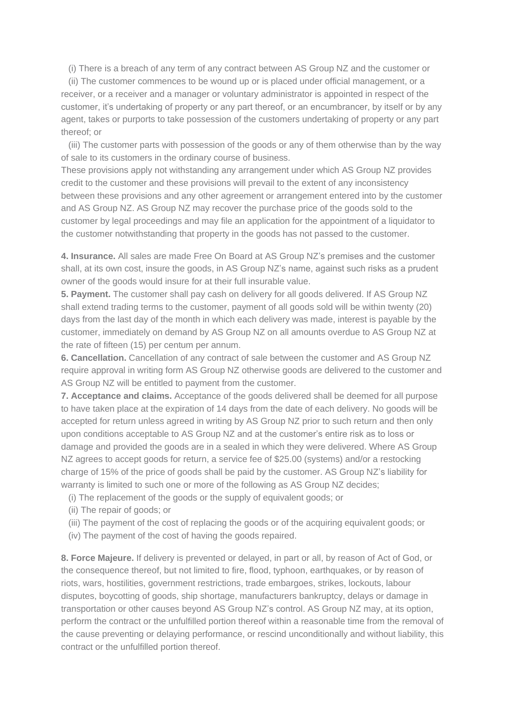(i) There is a breach of any term of any contract between AS Group NZ and the customer or

(ii) The customer commences to be wound up or is placed under official management, or a receiver, or a receiver and a manager or voluntary administrator is appointed in respect of the customer, it's undertaking of property or any part thereof, or an encumbrancer, by itself or by any agent, takes or purports to take possession of the customers undertaking of property or any part thereof; or

(iii) The customer parts with possession of the goods or any of them otherwise than by the way of sale to its customers in the ordinary course of business.

These provisions apply not withstanding any arrangement under which AS Group NZ provides credit to the customer and these provisions will prevail to the extent of any inconsistency between these provisions and any other agreement or arrangement entered into by the customer and AS Group NZ. AS Group NZ may recover the purchase price of the goods sold to the customer by legal proceedings and may file an application for the appointment of a liquidator to the customer notwithstanding that property in the goods has not passed to the customer.

**4. Insurance.** All sales are made Free On Board at AS Group NZ's premises and the customer shall, at its own cost, insure the goods, in AS Group NZ's name, against such risks as a prudent owner of the goods would insure for at their full insurable value.

**5. Payment.** The customer shall pay cash on delivery for all goods delivered. If AS Group NZ shall extend trading terms to the customer, payment of all goods sold will be within twenty (20) days from the last day of the month in which each delivery was made, interest is payable by the customer, immediately on demand by AS Group NZ on all amounts overdue to AS Group NZ at the rate of fifteen (15) per centum per annum.

**6. Cancellation.** Cancellation of any contract of sale between the customer and AS Group NZ require approval in writing form AS Group NZ otherwise goods are delivered to the customer and AS Group NZ will be entitled to payment from the customer.

**7. Acceptance and claims.** Acceptance of the goods delivered shall be deemed for all purpose to have taken place at the expiration of 14 days from the date of each delivery. No goods will be accepted for return unless agreed in writing by AS Group NZ prior to such return and then only upon conditions acceptable to AS Group NZ and at the customer's entire risk as to loss or damage and provided the goods are in a sealed in which they were delivered. Where AS Group NZ agrees to accept goods for return, a service fee of \$25.00 (systems) and/or a restocking charge of 15% of the price of goods shall be paid by the customer. AS Group NZ's liability for warranty is limited to such one or more of the following as AS Group NZ decides;

- (i) The replacement of the goods or the supply of equivalent goods; or
- (ii) The repair of goods; or
- (iii) The payment of the cost of replacing the goods or of the acquiring equivalent goods; or
- (iv) The payment of the cost of having the goods repaired.

**8. Force Majeure.** If delivery is prevented or delayed, in part or all, by reason of Act of God, or the consequence thereof, but not limited to fire, flood, typhoon, earthquakes, or by reason of riots, wars, hostilities, government restrictions, trade embargoes, strikes, lockouts, labour disputes, boycotting of goods, ship shortage, manufacturers bankruptcy, delays or damage in transportation or other causes beyond AS Group NZ's control. AS Group NZ may, at its option, perform the contract or the unfulfilled portion thereof within a reasonable time from the removal of the cause preventing or delaying performance, or rescind unconditionally and without liability, this contract or the unfulfilled portion thereof.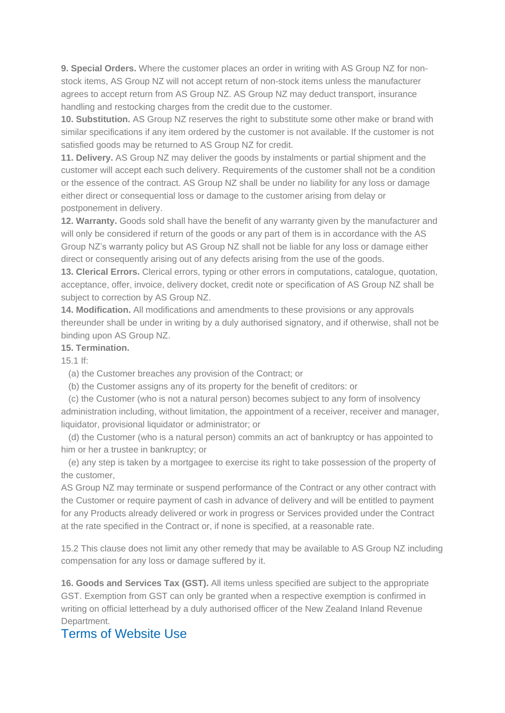**9. Special Orders.** Where the customer places an order in writing with AS Group NZ for nonstock items, AS Group NZ will not accept return of non-stock items unless the manufacturer agrees to accept return from AS Group NZ. AS Group NZ may deduct transport, insurance handling and restocking charges from the credit due to the customer.

**10. Substitution.** AS Group NZ reserves the right to substitute some other make or brand with similar specifications if any item ordered by the customer is not available. If the customer is not satisfied goods may be returned to AS Group NZ for credit.

**11. Delivery.** AS Group NZ may deliver the goods by instalments or partial shipment and the customer will accept each such delivery. Requirements of the customer shall not be a condition or the essence of the contract. AS Group NZ shall be under no liability for any loss or damage either direct or consequential loss or damage to the customer arising from delay or postponement in delivery.

**12. Warranty.** Goods sold shall have the benefit of any warranty given by the manufacturer and will only be considered if return of the goods or any part of them is in accordance with the AS Group NZ's warranty policy but AS Group NZ shall not be liable for any loss or damage either direct or consequently arising out of any defects arising from the use of the goods.

**13. Clerical Errors.** Clerical errors, typing or other errors in computations, catalogue, quotation, acceptance, offer, invoice, delivery docket, credit note or specification of AS Group NZ shall be subject to correction by AS Group NZ.

**14. Modification.** All modifications and amendments to these provisions or any approvals thereunder shall be under in writing by a duly authorised signatory, and if otherwise, shall not be binding upon AS Group NZ.

## **15. Termination.**

15.1 If:

(a) the Customer breaches any provision of the Contract; or

(b) the Customer assigns any of its property for the benefit of creditors: or

(c) the Customer (who is not a natural person) becomes subject to any form of insolvency administration including, without limitation, the appointment of a receiver, receiver and manager, liquidator, provisional liquidator or administrator; or

(d) the Customer (who is a natural person) commits an act of bankruptcy or has appointed to him or her a trustee in bankruptcy; or

(e) any step is taken by a mortgagee to exercise its right to take possession of the property of the customer,

AS Group NZ may terminate or suspend performance of the Contract or any other contract with the Customer or require payment of cash in advance of delivery and will be entitled to payment for any Products already delivered or work in progress or Services provided under the Contract at the rate specified in the Contract or, if none is specified, at a reasonable rate.

15.2 This clause does not limit any other remedy that may be available to AS Group NZ including compensation for any loss or damage suffered by it.

**16. Goods and Services Tax (GST).** All items unless specified are subject to the appropriate GST. Exemption from GST can only be granted when a respective exemption is confirmed in writing on official letterhead by a duly authorised officer of the New Zealand Inland Revenue Department.

## Terms of Website Use